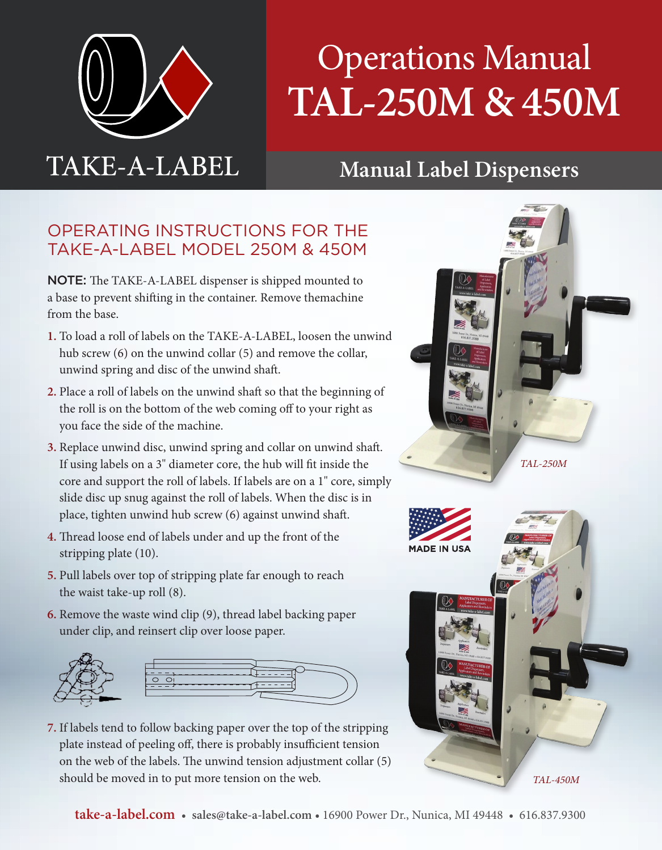

## Operations Manual **TAL-250M & 450M**

## **Manual Label Dispensers**

## OPERATING INSTRUCTIONS FOR THE TAKE-A-LABEL MODEL 250M & 450M

NOTE: The TAKE-A-LABEL dispenser is shipped mounted to a base to prevent shifting in the container. Remove themachine from the base.

- **1.** To load a roll of labels on the TAKE-A-LABEL, loosen the unwind hub screw (6) on the unwind collar (5) and remove the collar, unwind spring and disc of the unwind shaft.
- **2.** Place a roll of labels on the unwind shaft so that the beginning of the roll is on the bottom of the web coming off to your right as you face the side of the machine.
- **3.** Replace unwind disc, unwind spring and collar on unwind shaft. If using labels on a 3" diameter core, the hub will fit inside the core and support the roll of labels. If labels are on a 1" core, simply slide disc up snug against the roll of labels. When the disc is in place, tighten unwind hub screw (6) against unwind shaft.
- **4.** Thread loose end of labels under and up the front of the stripping plate (10).
- **5.** Pull labels over top of stripping plate far enough to reach the waist take-up roll (8).
- **6.** Remove the waste wind clip (9), thread label backing paper under clip, and reinsert clip over loose paper.



**7.** If labels tend to follow backing paper over the top of the stripping plate instead of peeling off, there is probably insufficient tension on the web of the labels. The unwind tension adjustment collar (5) should be moved in to put more tension on the web.